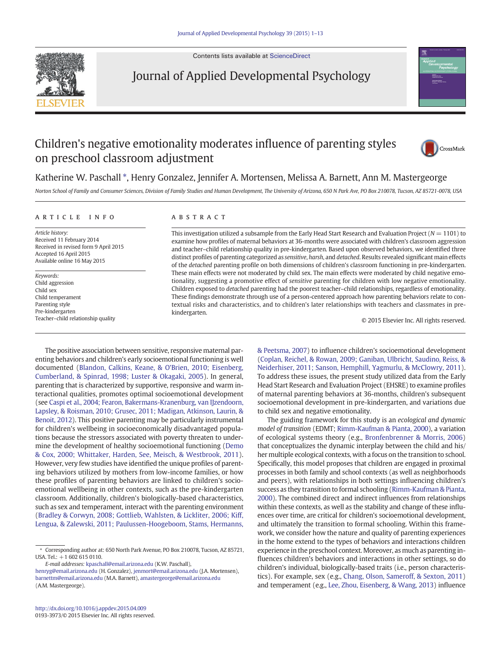Contents lists available at [ScienceDirect](http://www.sciencedirect.com/science/journal/01933973)



Journal of Applied Developmental Psychology

## Children's negative emotionality moderates influence of parenting styles on preschool classroom adjustment



### Katherine W. Paschall \*, Henry Gonzalez, Jennifer A. Mortensen, Melissa A. Barnett, Ann M. Mastergeorge

Norton School of Family and Consumer Sciences, Division of Family Studies and Human Development, The University of Arizona, 650 N Park Ave, PO Box 210078, Tucson, AZ 85721-0078, USA

### article info abstract

Article history: Received 11 February 2014 Received in revised form 9 April 2015 Accepted 16 April 2015 Available online 16 May 2015

Keywords: Child aggression Child sex Child temperament Parenting style Pre-kindergarten Teacher–child relationship quality

This investigation utilized a subsample from the Early Head Start Research and Evaluation Project ( $N = 1101$ ) to examine how profiles of maternal behaviors at 36-months were associated with children's classroom aggression and teacher–child relationship quality in pre-kindergarten. Based upon observed behaviors, we identified three distinct profiles of parenting categorized as sensitive, harsh, and detached. Results revealed significant main effects of the detached parenting profile on both dimensions of children's classroom functioning in pre-kindergarten. These main effects were not moderated by child sex. The main effects were moderated by child negative emotionality, suggesting a promotive effect of sensitive parenting for children with low negative emotionality. Children exposed to detached parenting had the poorest teacher–child relationships, regardless of emotionality. These findings demonstrate through use of a person-centered approach how parenting behaviors relate to contextual risks and characteristics, and to children's later relationships with teachers and classmates in prekindergarten.

© 2015 Elsevier Inc. All rights reserved.

The positive association between sensitive, responsive maternal parenting behaviors and children's early socioemotional functioning is well documented ([Blandon, Calkins, Keane, & O'Brien, 2010; Eisenberg,](#page--1-0) [Cumberland, & Spinrad, 1998; Luster & Okagaki, 2005\)](#page--1-0). In general, parenting that is characterized by supportive, responsive and warm interactional qualities, promotes optimal socioemotional development (see [Caspi et al., 2004; Fearon, Bakermans-Kranenburg, van IJzendoorn,](#page--1-0) [Lapsley, & Roisman, 2010; Grusec, 2011; Madigan, Atkinson, Laurin, &](#page--1-0) [Benoit, 2012\)](#page--1-0). This positive parenting may be particularly instrumental for children's wellbeing in socioeconomically disadvantaged populations because the stressors associated with poverty threaten to undermine the development of healthy socioemotional functioning ([Demo](#page--1-0) [& Cox, 2000; Whittaker, Harden, See, Meisch, & Westbrook, 2011](#page--1-0)). However, very few studies have identified the unique profiles of parenting behaviors utilized by mothers from low-income families, or how these profiles of parenting behaviors are linked to children's socioemotional wellbeing in other contexts, such as the pre-kindergarten classroom. Additionally, children's biologically-based characteristics, such as sex and temperament, interact with the parenting environment [\(Bradley & Corwyn, 2008; Gottlieb, Wahlsten, & Lickliter, 2006; Kiff,](#page--1-0) [Lengua, & Zalewski, 2011; Paulussen-Hoogeboom, Stams, Hermanns,](#page--1-0)

E-mail addresses: [kpaschall@email.arizona.edu](mailto:kpaschall@email.arizona.edu) (K.W. Paschall),

[& Peetsma, 2007](#page--1-0)) to influence children's socioemotional development [\(Coplan, Reichel, & Rowan, 2009; Ganiban, Ulbricht, Saudino, Reiss, &](#page--1-0) [Neiderhiser, 2011; Sanson, Hemphill, Yagmurlu, & McClowry, 2011](#page--1-0)). To address these issues, the present study utilized data from the Early Head Start Research and Evaluation Project (EHSRE) to examine profiles of maternal parenting behaviors at 36-months, children's subsequent socioemotional development in pre-kindergarten, and variations due to child sex and negative emotionality.

The guiding framework for this study is an ecological and dynamic model of transition (EDMT; [Rimm-Kaufman & Pianta, 2000\)](#page--1-0), a variation of ecological systems theory (e.g., [Bronfenbrenner & Morris, 2006](#page--1-0)) that conceptualizes the dynamic interplay between the child and his/ her multiple ecological contexts, with a focus on the transition to school. Specifically, this model proposes that children are engaged in proximal processes in both family and school contexts (as well as neighborhoods and peers), with relationships in both settings influencing children's success as they transition to formal schooling ([Rimm-Kaufman & Pianta,](#page--1-0) [2000](#page--1-0)). The combined direct and indirect influences from relationships within these contexts, as well as the stability and change of these influences over time, are critical for children's socioemotional development, and ultimately the transition to formal schooling. Within this framework, we consider how the nature and quality of parenting experiences in the home extend to the types of behaviors and interactions children experience in the preschool context. Moreover, as much as parenting influences children's behaviors and interactions in other settings, so do children's individual, biologically-based traits (i.e., person characteristics). For example, sex (e.g., [Chang, Olson, Sameroff, & Sexton, 2011](#page--1-0)) and temperament (e.g., [Lee, Zhou, Eisenberg, & Wang, 2013\)](#page--1-0) influence

<sup>⁎</sup> Corresponding author at: 650 North Park Avenue, PO Box 210078, Tucson, AZ 85721, USA. Tel.:  $+16026150110$ .

[henryg@email.arizona.edu](mailto:henryg@email.arizona.edu) (H. Gonzalez), [jenmort@email.arizona.edu](mailto:jenmort@email.arizona.edu) (J.A. Mortensen), [barnettm@email.arizona.edu](mailto:barnettm@email.arizona.edu) (M.A. Barnett), [amastergeorge@email.arizona.edu](mailto:amastergeorge@email.arizona.edu) (A.M. Mastergeorge).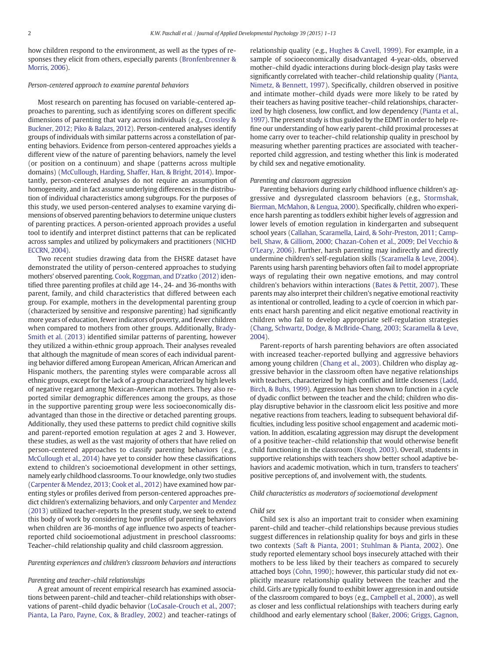how children respond to the environment, as well as the types of responses they elicit from others, especially parents ([Bronfenbrenner &](#page--1-0) [Morris, 2006\)](#page--1-0).

#### Person-centered approach to examine parental behaviors

Most research on parenting has focused on variable-centered approaches to parenting, such as identifying scores on different specific dimensions of parenting that vary across individuals (e.g., [Crossley &](#page--1-0) [Buckner, 2012; Piko & Balazs, 2012\)](#page--1-0). Person-centered analyses identify groups of individuals with similar patterns across a constellation of parenting behaviors. Evidence from person-centered approaches yields a different view of the nature of parenting behaviors, namely the level (or position on a continuum) and shape (patterns across multiple domains) ([McCullough, Harding, Shaffer, Han, & Bright, 2014](#page--1-0)). Importantly, person-centered analyses do not require an assumption of homogeneity, and in fact assume underlying differences in the distribution of individual characteristics among subgroups. For the purposes of this study, we used person-centered analyses to examine varying dimensions of observed parenting behaviors to determine unique clusters of parenting practices. A person-oriented approach provides a useful tool to identify and interpret distinct patterns that can be replicated across samples and utilized by policymakers and practitioners ([NICHD](#page--1-0) [ECCRN, 2004](#page--1-0)).

Two recent studies drawing data from the EHSRE dataset have demonstrated the utility of person-centered approaches to studying mothers' observed parenting. [Cook, Roggman, and D'zatko \(2012\)](#page--1-0) identified three parenting profiles at child age 14-, 24- and 36-months with parent, family, and child characteristics that differed between each group. For example, mothers in the developmental parenting group (characterized by sensitive and responsive parenting) had significantly more years of education, fewer indicators of poverty, and fewer children when compared to mothers from other groups. Additionally, [Brady-](#page--1-0)[Smith et al. \(2013\)](#page--1-0) identified similar patterns of parenting, however they utilized a within-ethnic group approach. Their analyses revealed that although the magnitude of mean scores of each individual parenting behavior differed among European American, African American and Hispanic mothers, the parenting styles were comparable across all ethnic groups, except for the lack of a group characterized by high levels of negative regard among Mexican-American mothers. They also reported similar demographic differences among the groups, as those in the supportive parenting group were less socioeconomically disadvantaged than those in the directive or detached parenting groups. Additionally, they used these patterns to predict child cognitive skills and parent-reported emotion regulation at ages 2 and 3. However, these studies, as well as the vast majority of others that have relied on person-centered approaches to classify parenting behaviors (e.g., [McCullough et al., 2014](#page--1-0)) have yet to consider how these classifications extend to children's socioemotional development in other settings, namely early childhood classrooms. To our knowledge, only two studies [\(Carpenter & Mendez, 2013; Cook et al., 2012\)](#page--1-0) have examined how parenting styles or profiles derived from person-centered approaches predict children's externalizing behaviors, and only [Carpenter and Mendez](#page--1-0) [\(2013\)](#page--1-0) utilized teacher-reports In the present study, we seek to extend this body of work by considering how profiles of parenting behaviors when children are 36-months of age influence two aspects of teacherreported child socioemotional adjustment in preschool classrooms: Teacher–child relationship quality and child classroom aggression.

Parenting experiences and children's classroom behaviors and interactions

#### Parenting and teacher–child relationships

A great amount of recent empirical research has examined associations between parent–child and teacher–child relationships with observations of parent–child dyadic behavior ([LoCasale-Crouch et al., 2007;](#page--1-0) [Pianta, La Paro, Payne, Cox, & Bradley, 2002](#page--1-0)) and teacher-ratings of relationship quality (e.g., [Hughes & Cavell, 1999\)](#page--1-0). For example, in a sample of socioeconomically disadvantaged 4-year-olds, observed mother–child dyadic interactions during block-design play tasks were significantly correlated with teacher–child relationship quality ([Pianta,](#page--1-0) [Nimetz, & Bennett, 1997](#page--1-0)). Specifically, children observed in positive and intimate mother–child dyads were more likely to be rated by their teachers as having positive teacher–child relationships, characterized by high closeness, low conflict, and low dependency ([Pianta et al.,](#page--1-0) [1997\)](#page--1-0). The present study is thus guided by the EDMT in order to help refine our understanding of how early parent–child proximal processes at home carry over to teacher–child relationship quality in preschool by measuring whether parenting practices are associated with teacherreported child aggression, and testing whether this link is moderated by child sex and negative emotionality.

#### Parenting and classroom aggression

Parenting behaviors during early childhood influence children's aggressive and dysregulated classroom behaviors (e.g., [Stormshak,](#page--1-0) [Bierman, McMahon, & Lengua, 2000](#page--1-0)). Specifically, children who experience harsh parenting as toddlers exhibit higher levels of aggression and lower levels of emotion regulation in kindergarten and subsequent school years ([Callahan, Scaramella, Laird, & Sohr-Preston, 2011; Camp](#page--1-0)[bell, Shaw, & Gilliom, 2000; Chazan-Cohen et al., 2009; Del Vecchio &](#page--1-0) [O'Leary, 2006\)](#page--1-0). Further, harsh parenting may indirectly and directly undermine children's self-regulation skills ([Scaramella & Leve, 2004](#page--1-0)). Parents using harsh parenting behaviors often fail to model appropriate ways of regulating their own negative emotions, and may control children's behaviors within interactions ([Bates & Pettit, 2007](#page--1-0)). These parents may also interpret their children's negative emotional reactivity as intentional or controlled, leading to a cycle of coercion in which parents enact harsh parenting and elicit negative emotional reactivity in children who fail to develop appropriate self-regulation strategies [\(Chang, Schwartz, Dodge, & McBride-Chang, 2003; Scaramella & Leve,](#page--1-0) [2004\)](#page--1-0).

Parent-reports of harsh parenting behaviors are often associated with increased teacher-reported bullying and aggressive behaviors among young children [\(Chang et al., 2003\)](#page--1-0). Children who display aggressive behavior in the classroom often have negative relationships with teachers, characterized by high conflict and little closeness ([Ladd,](#page--1-0) [Birch, & Buhs, 1999\)](#page--1-0). Aggression has been shown to function in a cycle of dyadic conflict between the teacher and the child; children who display disruptive behavior in the classroom elicit less positive and more negative reactions from teachers, leading to subsequent behavioral difficulties, including less positive school engagement and academic motivation. In addition, escalating aggression may disrupt the development of a positive teacher–child relationship that would otherwise benefit child functioning in the classroom ([Keogh, 2003](#page--1-0)). Overall, students in supportive relationships with teachers show better school adaptive behaviors and academic motivation, which in turn, transfers to teachers' positive perceptions of, and involvement with, the students.

#### Child characteristics as moderators of socioemotional development

#### Child sex

Child sex is also an important trait to consider when examining parent–child and teacher–child relationships because previous studies suggest differences in relationship quality for boys and girls in these two contexts [\(Saft & Pianta, 2001; Stuhlman & Pianta, 2002](#page--1-0)). One study reported elementary school boys insecurely attached with their mothers to be less liked by their teachers as compared to securely attached boys [\(Cohn, 1990\)](#page--1-0); however, this particular study did not explicitly measure relationship quality between the teacher and the child. Girls are typically found to exhibit lower aggression in and outside of the classroom compared to boys (e.g., [Campbell et al., 2000\)](#page--1-0), as well as closer and less conflictual relationships with teachers during early childhood and early elementary school [\(Baker, 2006; Griggs, Gagnon,](#page--1-0)